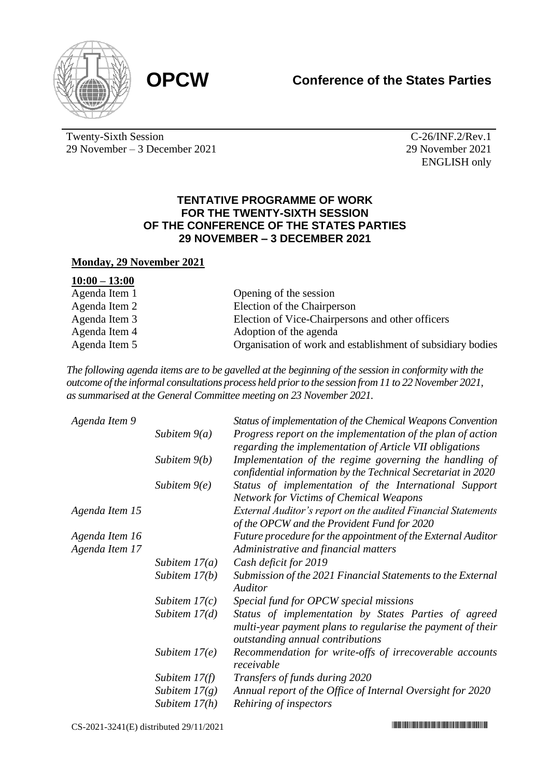



Twenty-Sixth Session 29 November – 3 December 2021

C-26/INF.2/Rev.1 29 November 2021 ENGLISH only

## **TENTATIVE PROGRAMME OF WORK FOR THE TWENTY-SIXTH SESSION OF THE CONFERENCE OF THE STATES PARTIES 29 NOVEMBER – 3 DECEMBER 2021**

## **Monday, 29 November 2021**

| $10:00 - 13:00$ |                                                             |
|-----------------|-------------------------------------------------------------|
| Agenda Item 1   | Opening of the session                                      |
| Agenda Item 2   | Election of the Chairperson                                 |
| Agenda Item 3   | Election of Vice-Chairpersons and other officers            |
| Agenda Item 4   | Adoption of the agenda                                      |
| Agenda Item 5   | Organisation of work and establishment of subsidiary bodies |

*The following agenda items are to be gavelled at the beginning of the session in conformity with the outcome of the informal consultations process held prior to the session from 11 to 22 November 2021, as summarised at the General Committee meeting on 23 November 2021.*

| Agenda Item 9  |                 | Status of implementation of the Chemical Weapons Convention                                                                                             |
|----------------|-----------------|---------------------------------------------------------------------------------------------------------------------------------------------------------|
|                | Subitem $9(a)$  | Progress report on the implementation of the plan of action<br>regarding the implementation of Article VII obligations                                  |
|                | Subitem $9(b)$  | Implementation of the regime governing the handling of<br>confidential information by the Technical Secretariat in 2020                                 |
|                | Subitem $9(e)$  | Status of implementation of the International Support<br><b>Network for Victims of Chemical Weapons</b>                                                 |
| Agenda Item 15 |                 | External Auditor's report on the audited Financial Statements<br>of the OPCW and the Provident Fund for 2020                                            |
| Agenda Item 16 |                 | Future procedure for the appointment of the External Auditor                                                                                            |
| Agenda Item 17 |                 | Administrative and financial matters                                                                                                                    |
|                | Subitem $17(a)$ | Cash deficit for 2019                                                                                                                                   |
|                | Subitem $17(b)$ | Submission of the 2021 Financial Statements to the External<br>Auditor                                                                                  |
|                | Subitem $17(c)$ | Special fund for OPCW special missions                                                                                                                  |
|                | Subitem $17(d)$ | Status of implementation by States Parties of agreed<br>multi-year payment plans to regularise the payment of their<br>outstanding annual contributions |
|                | Subitem $17(e)$ | Recommendation for write-offs of irrecoverable accounts<br>receivable                                                                                   |
|                | Subitem $17(f)$ | Transfers of funds during 2020                                                                                                                          |
|                | Subitem $17(g)$ | Annual report of the Office of Internal Oversight for 2020                                                                                              |
|                | Subitem 17(h)   | Rehiring of inspectors                                                                                                                                  |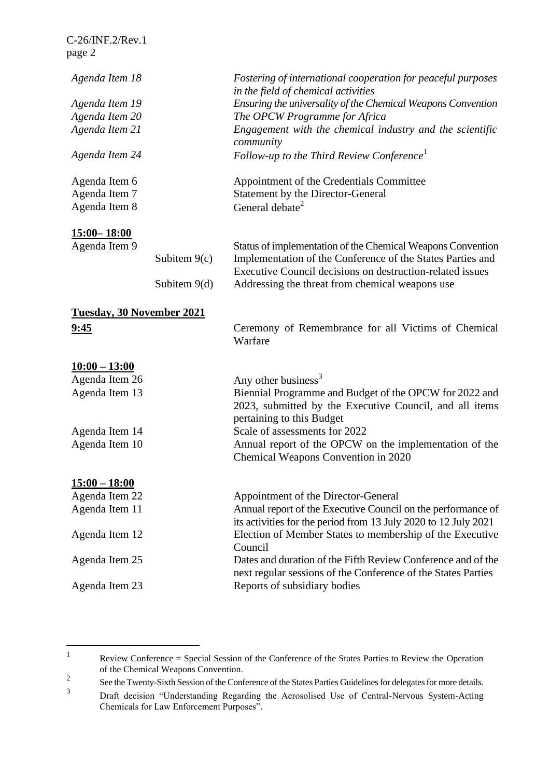| C-26/INF.2/Rev.1                 |                |                                                                                                                                                |
|----------------------------------|----------------|------------------------------------------------------------------------------------------------------------------------------------------------|
| page 2                           |                |                                                                                                                                                |
| Agenda Item 18                   |                | Fostering of international cooperation for peaceful purposes<br>in the field of chemical activities                                            |
| Agenda Item 19                   |                | Ensuring the universality of the Chemical Weapons Convention                                                                                   |
| Agenda Item 20                   |                | The OPCW Programme for Africa                                                                                                                  |
| Agenda Item 21                   |                | Engagement with the chemical industry and the scientific<br>community                                                                          |
| Agenda Item 24                   |                | Follow-up to the Third Review Conference <sup>1</sup>                                                                                          |
| Agenda Item 6                    |                | Appointment of the Credentials Committee                                                                                                       |
| Agenda Item 7                    |                | <b>Statement by the Director-General</b>                                                                                                       |
| Agenda Item 8                    |                | General debate <sup>2</sup>                                                                                                                    |
| <u>15:00–18:00</u>               |                |                                                                                                                                                |
| Agenda Item 9                    |                | Status of implementation of the Chemical Weapons Convention                                                                                    |
|                                  | Subitem $9(c)$ | Implementation of the Conference of the States Parties and<br>Executive Council decisions on destruction-related issues                        |
|                                  | Subitem $9(d)$ | Addressing the threat from chemical weapons use                                                                                                |
| <b>Tuesday, 30 November 2021</b> |                |                                                                                                                                                |
| <u>9:45</u>                      |                | Ceremony of Remembrance for all Victims of Chemical<br>Warfare                                                                                 |
| $10:00 - 13:00$                  |                |                                                                                                                                                |
| Agenda Item 26                   |                | Any other business <sup>3</sup>                                                                                                                |
| Agenda Item 13                   |                | Biennial Programme and Budget of the OPCW for 2022 and<br>2023, submitted by the Executive Council, and all items<br>pertaining to this Budget |
| Agenda Item 14                   |                | Scale of assessments for 2022                                                                                                                  |
| Agenda Item 10                   |                | Annual report of the OPCW on the implementation of the<br>Chemical Weapons Convention in 2020                                                  |
| <u> 15:00 – 18:00</u>            |                |                                                                                                                                                |
| Agenda Item 22                   |                | Appointment of the Director-General                                                                                                            |
| Agenda Item 11                   |                | Annual report of the Executive Council on the performance of<br>its activities for the period from 13 July 2020 to 12 July 2021                |
| Agenda Item 12                   |                | Election of Member States to membership of the Executive<br>Council                                                                            |
| Agenda Item 25                   |                | Dates and duration of the Fifth Review Conference and of the<br>next regular sessions of the Conference of the States Parties                  |
| Agenda Item 23                   |                | Reports of subsidiary bodies                                                                                                                   |

<sup>1</sup> Review Conference = Special Session of the Conference of the States Parties to Review the Operation of the Chemical Weapons Convention.

<sup>2</sup> See the Twenty-Sixth Session of the Conference of the States Parties Guidelines for delegates for more details.

<sup>3</sup> Draft decision "Understanding Regarding the Aerosolised Use of Central-Nervous System-Acting Chemicals for Law Enforcement Purposes".